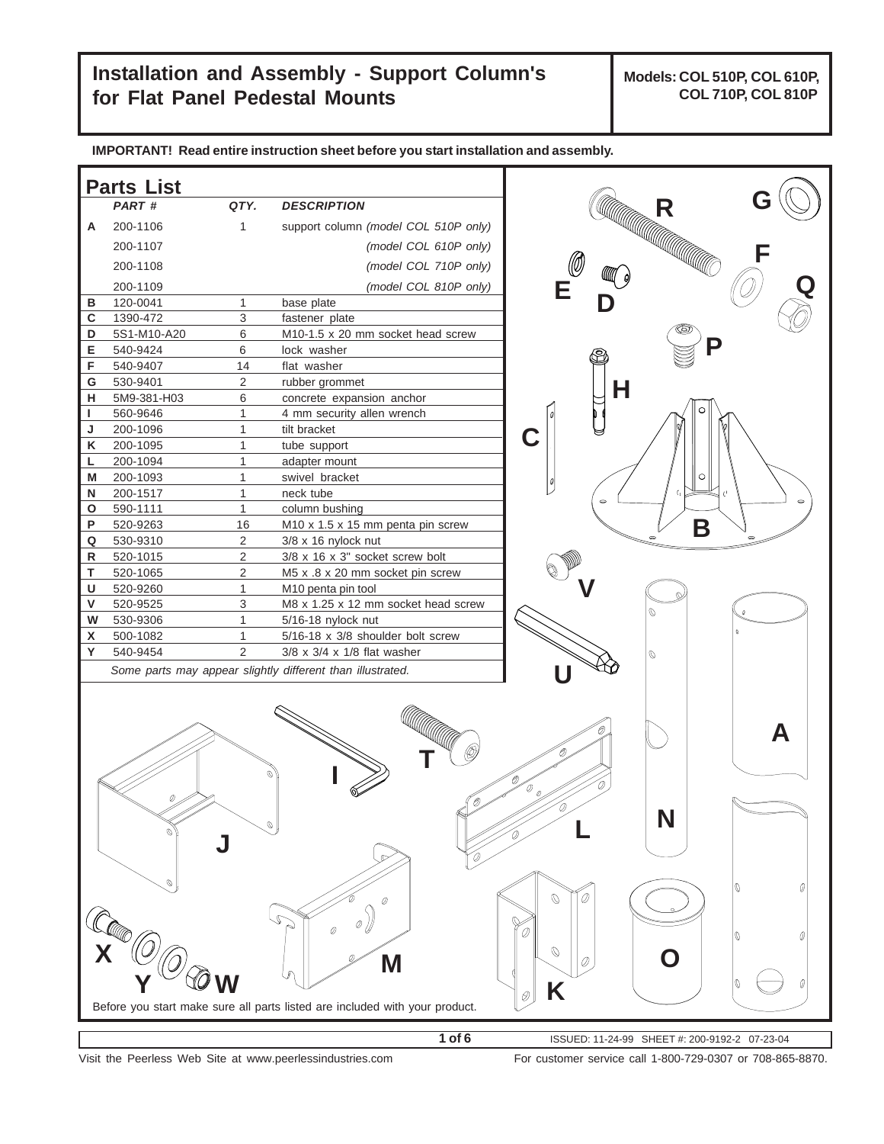## **Installation and Assembly - Support Column's for Flat Panel Pedestal Mounts**

**Models: COL 510P, COL 610P, COL 710P, COL 810P**

**IMPORTANT! Read entire instruction sheet before you start installation and assembly.**



Visit the Peerless Web Site at www.peerlessindustries.com For customer service call 1-800-729-0307 or 708-865-8870.

ISSUED: 11-24-99 SHEET #: 200-9192-2 07-23-04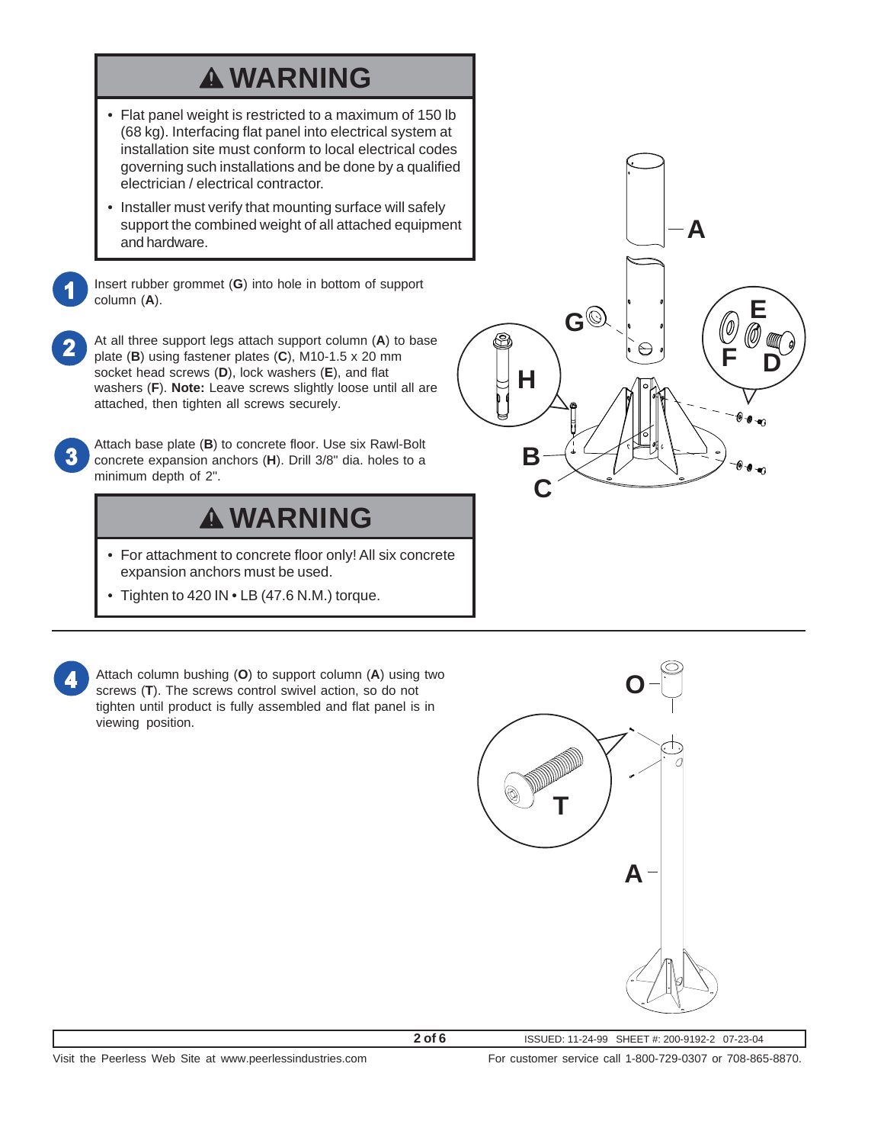## **WARNING**

- Flat panel weight is restricted to a maximum of 150 lb (68 kg). Interfacing flat panel into electrical system at installation site must conform to local electrical codes governing such installations and be done by a qualified electrician / electrical contractor.
- Installer must verify that mounting surface will safely support the combined weight of all attached equipment and hardware.
- Insert rubber grommet (**G**) into hole in bottom of support column (**A**).
- At all three support legs attach support column (**A**) to base plate (**B**) using fastener plates (**C**), M10-1.5 x 20 mm socket head screws (**D**), lock washers (**E**), and flat washers (**F**). **Note:** Leave screws slightly loose until all are attached, then tighten all screws securely.

Attach base plate (**B**) to concrete floor. Use six Rawl-Bolt concrete expansion anchors (**H**). Drill 3/8" dia. holes to a minimum depth of 2".

## **WARNING**

- For attachment to concrete floor only! All six concrete expansion anchors must be used.
- Tighten to 420 IN LB (47.6 N.M.) torque.



Attach column bushing (**O**) to support column (**A**) using two screws (**T**). The screws control swivel action, so do not tighten until product is fully assembled and flat panel is in viewing position.



**2 of 6**

Visit the Peerless Web Site at www.peerlessindustries.com For customer service call 1-800-729-0307 or 708-865-8870.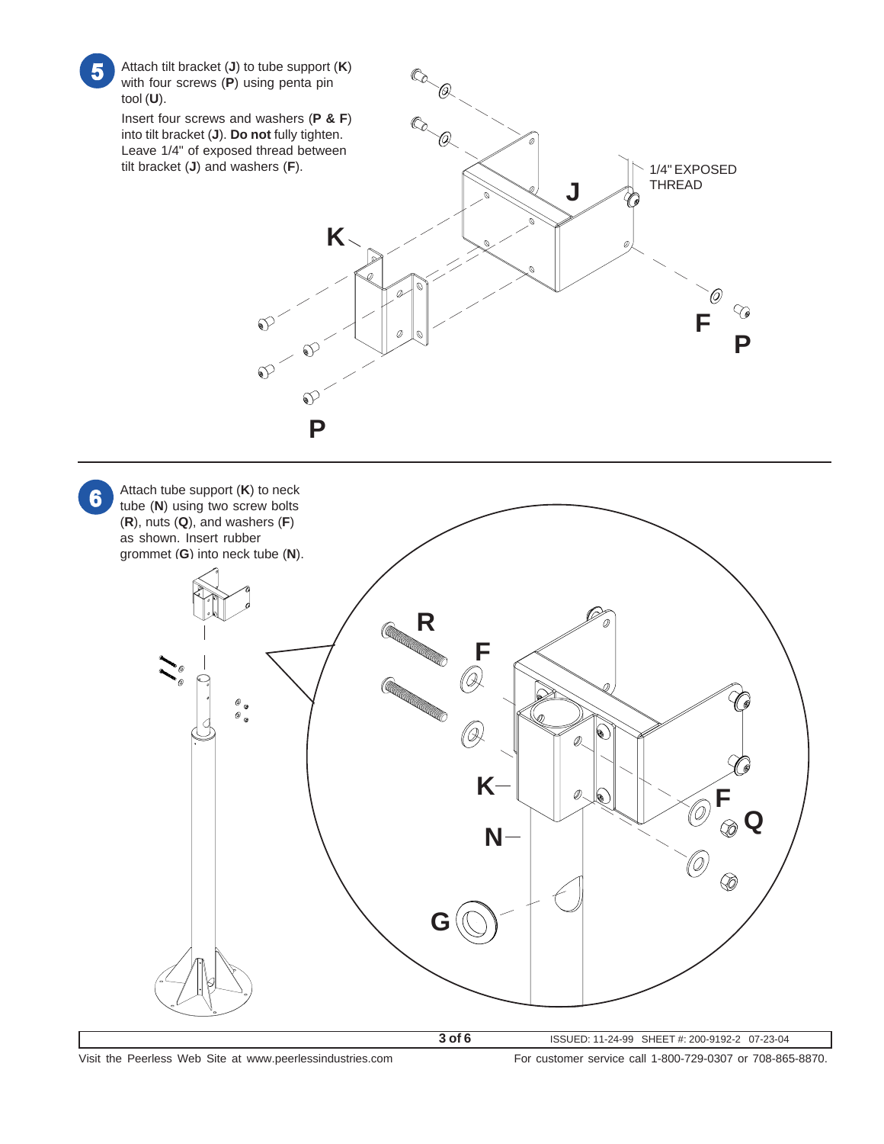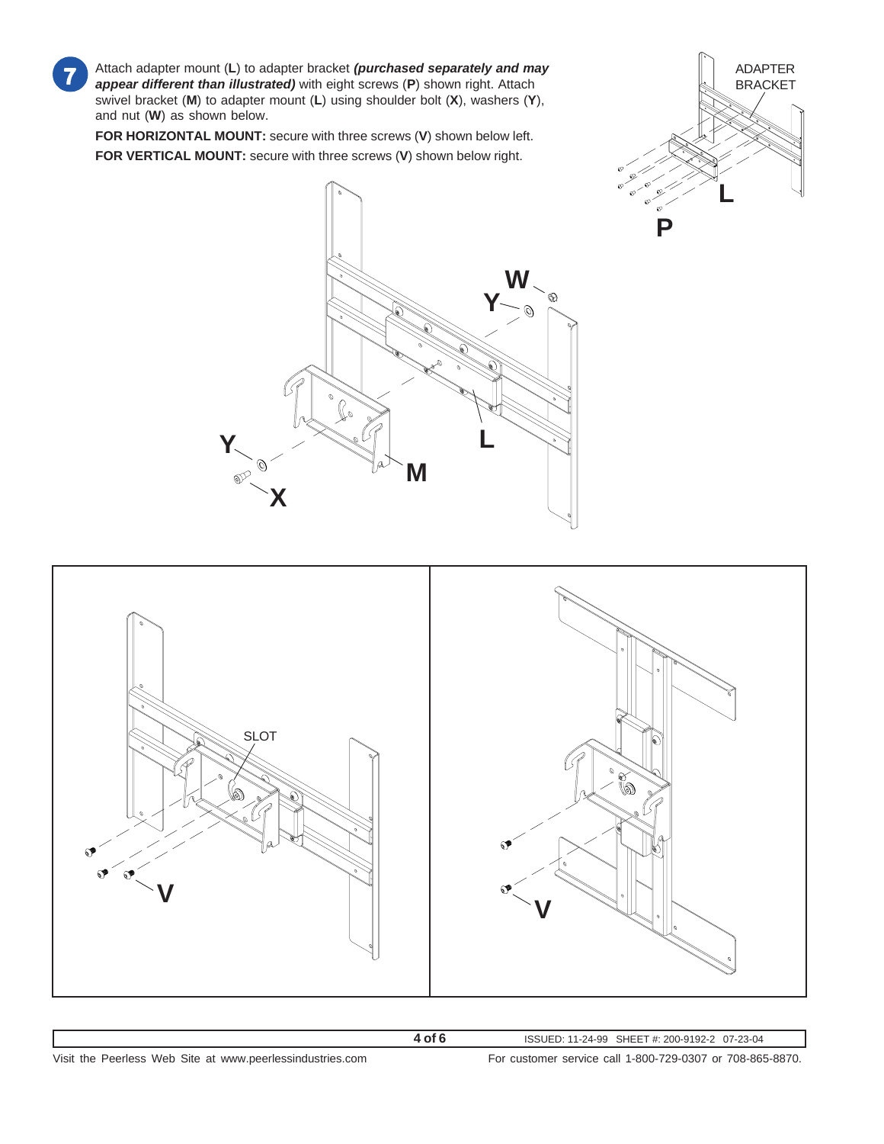Attach adapter mount (**L**) to adapter bracket *(purchased separately and may appear different than illustrated)* with eight screws (**P**) shown right. Attach swivel bracket (**M**) to adapter mount (**L**) using shoulder bolt (**X**), washers (**Y**), and nut (**W**) as shown below.

**FOR HORIZONTAL MOUNT:** secure with three screws (**V**) shown below left. **FOR VERTICAL MOUNT:** secure with three screws (**V**) shown below right.





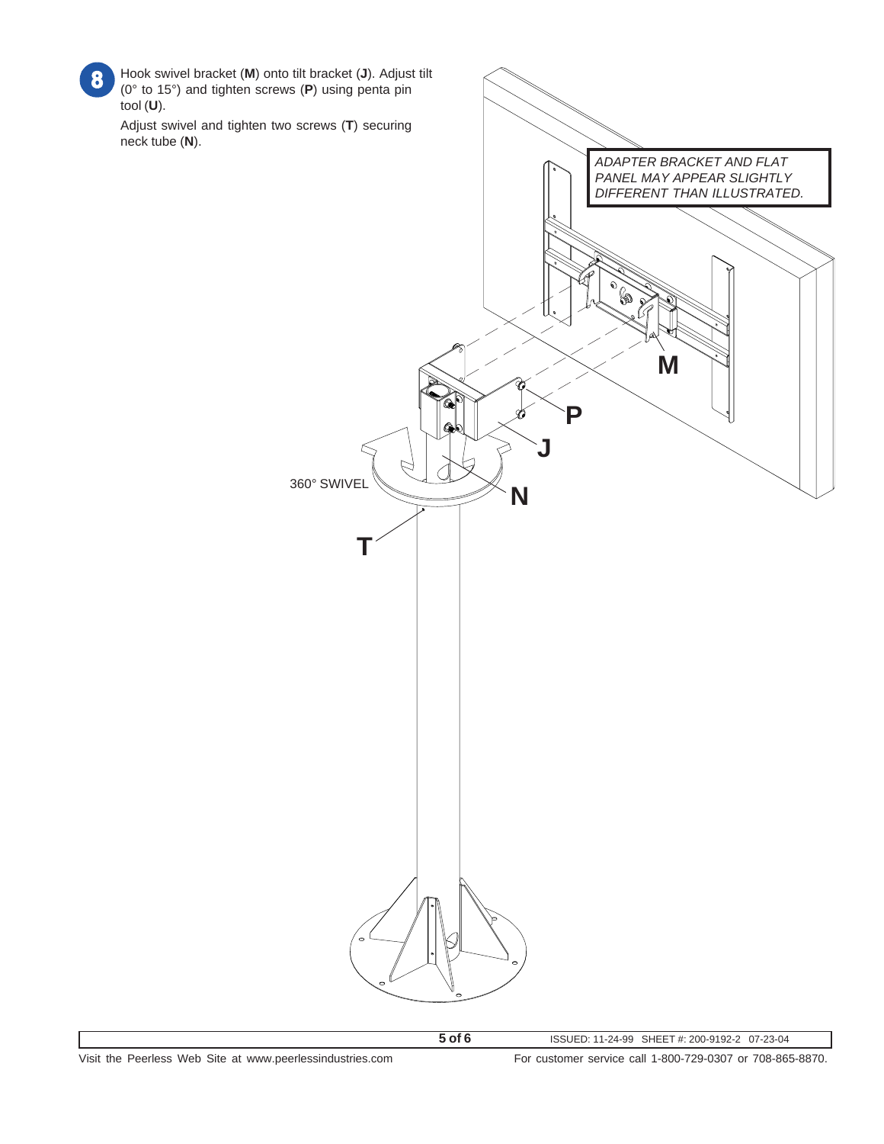